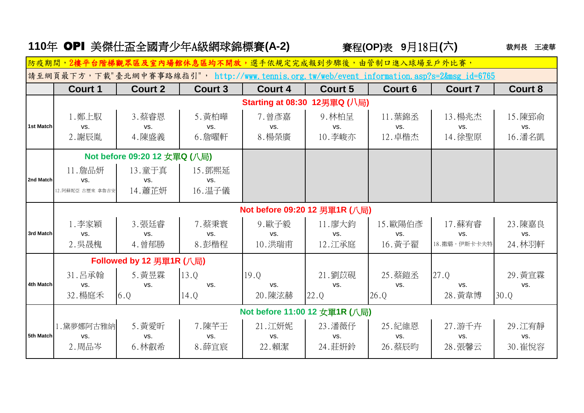|                                                                                            | 110年 OPI 美傑仕盃全國青少年A級網球錦標賽(A-2) |                |                |                                     | 賽程(OP)表 9月18日(六) | 裁判長<br>王凌華     |                 |                |  |  |  |
|--------------------------------------------------------------------------------------------|--------------------------------|----------------|----------------|-------------------------------------|------------------|----------------|-----------------|----------------|--|--|--|
|                                                                                            | 防疫期間,2樓平台階梯觀眾區及室內場             |                |                | 休息區均不開放,選手依規定完成報到步驟後,由管制口進入球場至戶外比賽, |                  |                |                 |                |  |  |  |
| 請至網頁最下方,下載"臺北網中賽事路線指引", http://www.tennis.org.tw/web/event information.asp?s=2&msg_id=6765 |                                |                |                |                                     |                  |                |                 |                |  |  |  |
|                                                                                            | <b>Court 1</b>                 | <b>Court 2</b> | <b>Court 3</b> | <b>Court 4</b>                      | <b>Court 5</b>   | <b>Court 6</b> | <b>Court 7</b>  | <b>Court 8</b> |  |  |  |
|                                                                                            | Starting at 08:30 12男單Q (八局)   |                |                |                                     |                  |                |                 |                |  |  |  |
|                                                                                            | 1. 鄭上馭                         | 3.蔡睿恩          | 5. 黃柏曄         | 7. 曾彥嘉                              | 9. 林柏呈           | 11. 葉錦丞        | 13. 楊兆杰         | 15. 陳郅俞        |  |  |  |
| 1st Match                                                                                  | VS.                            | VS.            | VS.            | VS.                                 | VS.              | VS.            | VS.             | VS.            |  |  |  |
|                                                                                            | 2. 謝辰胤                         | 4. 陳盛義         | 6. 詹曜軒         | 8. 楊榮廣                              | 10.李峻亦           | 12. 卓楷杰        | 14.徐聖原          | 16. 潘名凱        |  |  |  |
|                                                                                            | Not before 09:20 12 女單Q (八局)   |                |                |                                     |                  |                |                 |                |  |  |  |
|                                                                                            | 11. 詹品妍                        | 13. 童于真        | 15. 鄧熙延        |                                     |                  |                |                 |                |  |  |  |
| 2nd Match                                                                                  | VS.                            | VS.            | VS.            |                                     |                  |                |                 |                |  |  |  |
|                                                                                            | 12. 阿蘇妮亞 古歷來 拿魯吉安              | 14. 蕭芷妍        | 16. 温子儀        |                                     |                  |                |                 |                |  |  |  |
|                                                                                            | Not before 09:20 12 男單1R (八局)  |                |                |                                     |                  |                |                 |                |  |  |  |
|                                                                                            | 1.李家穎                          | 3.張廷睿          | 7.蔡秉寰          | 9.歐子毅                               | 11.廖大鈞           | 15.歐陽伯彥        | 17. 蘇宥睿         | 23. 陳嘉良        |  |  |  |
| 3rd Match                                                                                  | VS.                            | VS.            | VS.            | VS.                                 | VS.              | VS.            | VS.             | VS.            |  |  |  |
|                                                                                            | 2. 吳晟槐                         | 4. 曾郁勝         | 8. 彭楷程         | 10. 洪瑞甫                             | 12. 江承庭          | 16. 黃子翟        | 18. 撒璐 · 伊斯卡卡夫特 | 24. 林羽軒        |  |  |  |
|                                                                                            | Followed by 12 男單1R (八局)       |                |                |                                     |                  |                |                 |                |  |  |  |
|                                                                                            | 31. 吕承翰                        | 5. 黄昱霖         | 13.Q           | 19.0                                | 21. 劉苡硯          | 25. 蔡鎧丞        | 27.Q            | 29. 黃宣霖        |  |  |  |
| 4th Match                                                                                  | VS.                            | VS.            | VS.            | VS.                                 | VS.              | VS.            | VS.             | VS.            |  |  |  |
|                                                                                            | 32. 楊庭禾                        | 6.0            | 14.Q           | 20.陳泫赫                              | 22.Q             | 26.Q           | 28. 黃韋博         | 30.Q           |  |  |  |
|                                                                                            | Not before 11:00 12 女單1R (八局)  |                |                |                                     |                  |                |                 |                |  |  |  |
|                                                                                            | 1.黛夢娜阿古雅納                      | 5. 黄愛昕         | 7.陳芊壬          | 21. 江妍妮                             | 23. 潘薇仔          | 25. 紀維恩        | 27. 游千卉         | 29. 江宥靜        |  |  |  |
| 5th Match                                                                                  | VS.                            | VS.            | VS.            | VS.                                 | VS.              | VS.            | VS.             | VS.            |  |  |  |
|                                                                                            | 2. 周品岑                         | 6. 林叡希         | 8. 薛宜宸         | 22. 賴潔                              | 24. 莊妍鈴          | 26. 蔡辰昀        | 28. 張馨云         | 30. 崔悅容        |  |  |  |
|                                                                                            |                                |                |                |                                     |                  |                |                 |                |  |  |  |